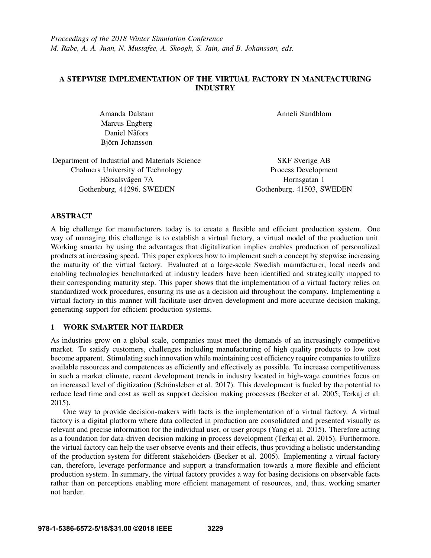# A STEPWISE IMPLEMENTATION OF THE VIRTUAL FACTORY IN MANUFACTURING INDUSTRY

Amanda Dalstam Marcus Engberg Daniel Nåfors Björn Johansson

Anneli Sundblom

| Department of Industrial and Materials Science |
|------------------------------------------------|
| Chalmers University of Technology              |
| Hörsalsvägen 7A                                |
| Gothenburg, 41296, SWEDEN                      |

SKF Sverige AB Process Development Hornsgatan 1 Gothenburg, 41503, SWEDEN

# ABSTRACT

A big challenge for manufacturers today is to create a flexible and efficient production system. One way of managing this challenge is to establish a virtual factory, a virtual model of the production unit. Working smarter by using the advantages that digitalization implies enables production of personalized products at increasing speed. This paper explores how to implement such a concept by stepwise increasing the maturity of the virtual factory. Evaluated at a large-scale Swedish manufacturer, local needs and enabling technologies benchmarked at industry leaders have been identified and strategically mapped to their corresponding maturity step. This paper shows that the implementation of a virtual factory relies on standardized work procedures, ensuring its use as a decision aid throughout the company. Implementing a virtual factory in this manner will facilitate user-driven development and more accurate decision making, generating support for efficient production systems.

# 1 WORK SMARTER NOT HARDER

As industries grow on a global scale, companies must meet the demands of an increasingly competitive market. To satisfy customers, challenges including manufacturing of high quality products to low cost become apparent. Stimulating such innovation while maintaining cost efficiency require companies to utilize available resources and competences as efficiently and effectively as possible. To increase competitiveness in such a market climate, recent development trends in industry located in high-wage countries focus on an increased level of digitization (Schönsleben et al. 2017). This development is fueled by the potential to reduce lead time and cost as well as support decision making processes (Becker et al. 2005; Terkaj et al. 2015).

One way to provide decision-makers with facts is the implementation of a virtual factory. A virtual factory is a digital platform where data collected in production are consolidated and presented visually as relevant and precise information for the individual user, or user groups (Yang et al. 2015). Therefore acting as a foundation for data-driven decision making in process development (Terkaj et al. 2015). Furthermore, the virtual factory can help the user observe events and their effects, thus providing a holistic understanding of the production system for different stakeholders (Becker et al. 2005). Implementing a virtual factory can, therefore, leverage performance and support a transformation towards a more flexible and efficient production system. In summary, the virtual factory provides a way for basing decisions on observable facts rather than on perceptions enabling more efficient management of resources, and, thus, working smarter not harder.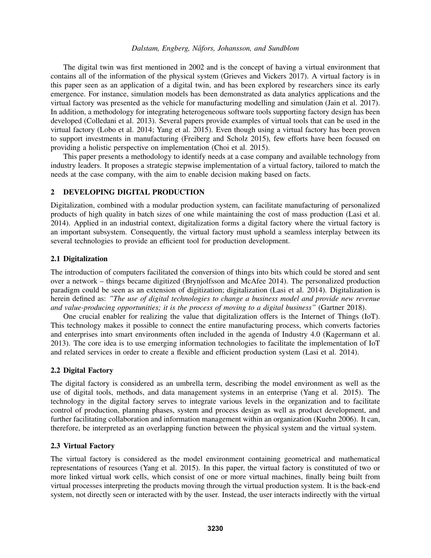The digital twin was first mentioned in 2002 and is the concept of having a virtual environment that contains all of the information of the physical system (Grieves and Vickers 2017). A virtual factory is in this paper seen as an application of a digital twin, and has been explored by researchers since its early emergence. For instance, simulation models has been demonstrated as data analytics applications and the virtual factory was presented as the vehicle for manufacturing modelling and simulation (Jain et al. 2017). In addition, a methodology for integrating heterogeneous software tools supporting factory design has been developed (Colledani et al. 2013). Several papers provide examples of virtual tools that can be used in the virtual factory (Lobo et al. 2014; Yang et al. 2015). Even though using a virtual factory has been proven to support investments in manufacturing (Freiberg and Scholz 2015), few efforts have been focused on providing a holistic perspective on implementation (Choi et al. 2015).

This paper presents a methodology to identify needs at a case company and available technology from industry leaders. It proposes a strategic stepwise implementation of a virtual factory, tailored to match the needs at the case company, with the aim to enable decision making based on facts.

## 2 DEVELOPING DIGITAL PRODUCTION

Digitalization, combined with a modular production system, can facilitate manufacturing of personalized products of high quality in batch sizes of one while maintaining the cost of mass production (Lasi et al. 2014). Applied in an industrial context, digitalization forms a digital factory where the virtual factory is an important subsystem. Consequently, the virtual factory must uphold a seamless interplay between its several technologies to provide an efficient tool for production development.

## 2.1 Digitalization

The introduction of computers facilitated the conversion of things into bits which could be stored and sent over a network – things became digitized (Brynjolfsson and McAfee 2014). The personalized production paradigm could be seen as an extension of digitization; digitalization (Lasi et al. 2014). Digitalization is herein defined as: *"The use of digital technologies to change a business model and provide new revenue and value-producing opportunities; it is the process of moving to a digital business"* (Gartner 2018).

One crucial enabler for realizing the value that digitalization offers is the Internet of Things (IoT). This technology makes it possible to connect the entire manufacturing process, which converts factories and enterprises into smart environments often included in the agenda of Industry 4.0 (Kagermann et al. 2013). The core idea is to use emerging information technologies to facilitate the implementation of IoT and related services in order to create a flexible and efficient production system (Lasi et al. 2014).

## 2.2 Digital Factory

The digital factory is considered as an umbrella term, describing the model environment as well as the use of digital tools, methods, and data management systems in an enterprise (Yang et al. 2015). The technology in the digital factory serves to integrate various levels in the organization and to facilitate control of production, planning phases, system and process design as well as product development, and further facilitating collaboration and information management within an organization (Kuehn 2006). It can, therefore, be interpreted as an overlapping function between the physical system and the virtual system.

## 2.3 Virtual Factory

The virtual factory is considered as the model environment containing geometrical and mathematical representations of resources (Yang et al. 2015). In this paper, the virtual factory is constituted of two or more linked virtual work cells, which consist of one or more virtual machines, finally being built from virtual processes interpreting the products moving through the virtual production system. It is the back-end system, not directly seen or interacted with by the user. Instead, the user interacts indirectly with the virtual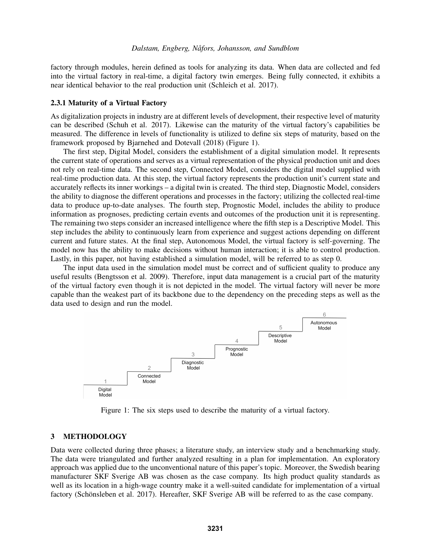factory through modules, herein defined as tools for analyzing its data. When data are collected and fed into the virtual factory in real-time, a digital factory twin emerges. Being fully connected, it exhibits a near identical behavior to the real production unit (Schleich et al. 2017).

### 2.3.1 Maturity of a Virtual Factory

As digitalization projects in industry are at different levels of development, their respective level of maturity can be described (Schuh et al. 2017). Likewise can the maturity of the virtual factory's capabilities be measured. The difference in levels of functionality is utilized to define six steps of maturity, based on the framework proposed by Bjarnehed and Dotevall (2018) (Figure 1).

The first step, Digital Model, considers the establishment of a digital simulation model. It represents the current state of operations and serves as a virtual representation of the physical production unit and does not rely on real-time data. The second step, Connected Model, considers the digital model supplied with real-time production data. At this step, the virtual factory represents the production unit's current state and accurately reflects its inner workings – a digital twin is created. The third step, Diagnostic Model, considers the ability to diagnose the different operations and processes in the factory; utilizing the collected real-time data to produce up-to-date analyses. The fourth step, Prognostic Model, includes the ability to produce information as prognoses, predicting certain events and outcomes of the production unit it is representing. The remaining two steps consider an increased intelligence where the fifth step is a Descriptive Model. This step includes the ability to continuously learn from experience and suggest actions depending on different current and future states. At the final step, Autonomous Model, the virtual factory is self-governing. The model now has the ability to make decisions without human interaction; it is able to control production. Lastly, in this paper, not having established a simulation model, will be referred to as step 0.

The input data used in the simulation model must be correct and of sufficient quality to produce any useful results (Bengtsson et al. 2009). Therefore, input data management is a crucial part of the maturity of the virtual factory even though it is not depicted in the model. The virtual factory will never be more capable than the weakest part of its backbone due to the dependency on the preceding steps as well as the data used to design and run the model.



Figure 1: The six steps used to describe the maturity of a virtual factory.

#### 3 METHODOLOGY

Data were collected during three phases; a literature study, an interview study and a benchmarking study. The data were triangulated and further analyzed resulting in a plan for implementation. An exploratory approach was applied due to the unconventional nature of this paper's topic. Moreover, the Swedish bearing manufacturer SKF Sverige AB was chosen as the case company. Its high product quality standards as well as its location in a high-wage country make it a well-suited candidate for implementation of a virtual factory (Schönsleben et al. 2017). Hereafter, SKF Sverige AB will be referred to as the case company.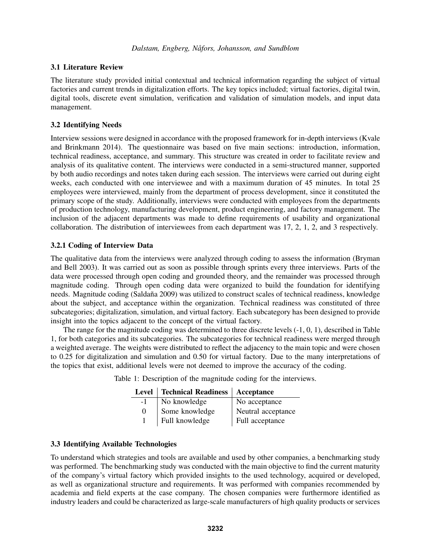## 3.1 Literature Review

The literature study provided initial contextual and technical information regarding the subject of virtual factories and current trends in digitalization efforts. The key topics included; virtual factories, digital twin, digital tools, discrete event simulation, verification and validation of simulation models, and input data management.

## 3.2 Identifying Needs

Interview sessions were designed in accordance with the proposed framework for in-depth interviews (Kvale and Brinkmann 2014). The questionnaire was based on five main sections: introduction, information, technical readiness, acceptance, and summary. This structure was created in order to facilitate review and analysis of its qualitative content. The interviews were conducted in a semi-structured manner, supported by both audio recordings and notes taken during each session. The interviews were carried out during eight weeks, each conducted with one interviewee and with a maximum duration of 45 minutes. In total 25 employees were interviewed, mainly from the department of process development, since it constituted the primary scope of the study. Additionally, interviews were conducted with employees from the departments of production technology, manufacturing development, product engineering, and factory management. The inclusion of the adjacent departments was made to define requirements of usability and organizational collaboration. The distribution of interviewees from each department was 17, 2, 1, 2, and 3 respectively.

## 3.2.1 Coding of Interview Data

The qualitative data from the interviews were analyzed through coding to assess the information (Bryman and Bell 2003). It was carried out as soon as possible through sprints every three interviews. Parts of the data were processed through open coding and grounded theory, and the remainder was processed through magnitude coding. Through open coding data were organized to build the foundation for identifying needs. Magnitude coding (Saldaña 2009) was utilized to construct scales of technical readiness, knowledge about the subject, and acceptance within the organization. Technical readiness was constituted of three subcategories; digitalization, simulation, and virtual factory. Each subcategory has been designed to provide insight into the topics adjacent to the concept of the virtual factory.

The range for the magnitude coding was determined to three discrete levels (-1, 0, 1), described in Table 1, for both categories and its subcategories. The subcategories for technical readiness were merged through a weighted average. The weights were distributed to reflect the adjacency to the main topic and were chosen to 0.25 for digitalization and simulation and 0.50 for virtual factory. Due to the many interpretations of the topics that exist, additional levels were not deemed to improve the accuracy of the coding.

Table 1: Description of the magnitude coding for the interviews.

|          | Level   Technical Readiness   Acceptance |                    |
|----------|------------------------------------------|--------------------|
| $-1$     | No knowledge                             | No acceptance      |
| $\Omega$ | Some knowledge                           | Neutral acceptance |
|          | Full knowledge                           | Full acceptance    |

# 3.3 Identifying Available Technologies

To understand which strategies and tools are available and used by other companies, a benchmarking study was performed. The benchmarking study was conducted with the main objective to find the current maturity of the company's virtual factory which provided insights to the used technology, acquired or developed, as well as organizational structure and requirements. It was performed with companies recommended by academia and field experts at the case company. The chosen companies were furthermore identified as industry leaders and could be characterized as large-scale manufacturers of high quality products or services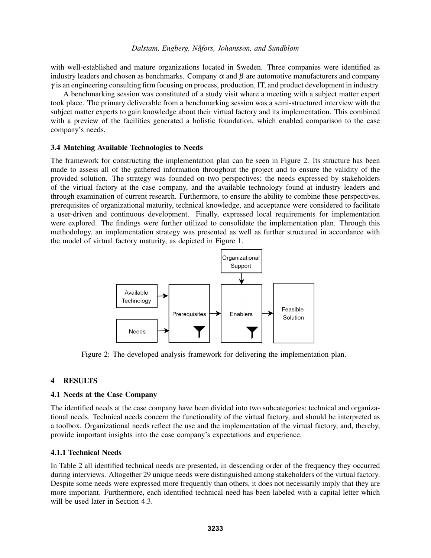with well-established and mature organizations located in Sweden. Three companies were identified as industry leaders and chosen as benchmarks. Company  $\alpha$  and  $\beta$  are automotive manufacturers and company  $\gamma$  is an engineering consulting firm focusing on process, production, IT, and product development in industry.

A benchmarking session was constituted of a study visit where a meeting with a subject matter expert took place. The primary deliverable from a benchmarking session was a semi-structured interview with the subject matter experts to gain knowledge about their virtual factory and its implementation. This combined with a preview of the facilities generated a holistic foundation, which enabled comparison to the case company's needs.

### 3.4 Matching Available Technologies to Needs

The framework for constructing the implementation plan can be seen in Figure 2. Its structure has been made to assess all of the gathered information throughout the project and to ensure the validity of the provided solution. The strategy was founded on two perspectives; the needs expressed by stakeholders of the virtual factory at the case company, and the available technology found at industry leaders and through examination of current research. Furthermore, to ensure the ability to combine these perspectives, prerequisites of organizational maturity, technical knowledge, and acceptance were considered to facilitate a user-driven and continuous development. Finally, expressed local requirements for implementation were explored. The findings were further utilized to consolidate the implementation plan. Through this methodology, an implementation strategy was presented as well as further structured in accordance with the model of virtual factory maturity, as depicted in Figure 1.



Figure 2: The developed analysis framework for delivering the implementation plan.

## 4 RESULTS

### 4.1 Needs at the Case Company

The identified needs at the case company have been divided into two subcategories; technical and organizational needs. Technical needs concern the functionality of the virtual factory, and should be interpreted as a toolbox. Organizational needs reflect the use and the implementation of the virtual factory, and, thereby, provide important insights into the case company's expectations and experience.

## 4.1.1 Technical Needs

In Table 2 all identified technical needs are presented, in descending order of the frequency they occurred during interviews. Altogether 29 unique needs were distinguished among stakeholders of the virtual factory. Despite some needs were expressed more frequently than others, it does not necessarily imply that they are more important. Furthermore, each identified technical need has been labeled with a capital letter which will be used later in Section 4.3.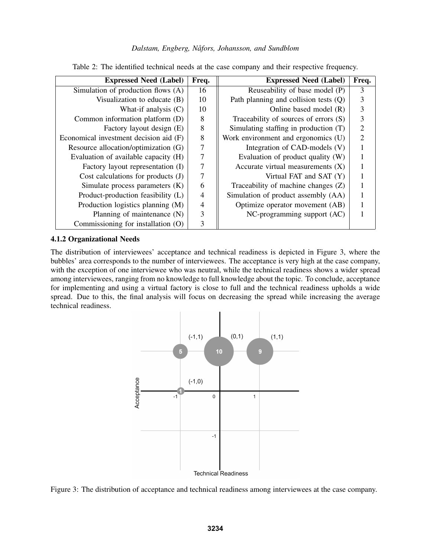| <b>Expressed Need (Label)</b>          | Freq.          | <b>Expressed Need (Label)</b>           | Freq.          |
|----------------------------------------|----------------|-----------------------------------------|----------------|
| Simulation of production flows (A)     | 16             | Reuseability of base model (P)          | 3              |
| Visualization to educate (B)           | 10             | Path planning and collision tests $(Q)$ | 3              |
| What-if analysis $(C)$                 | 10             | Online based model $(R)$                | 3              |
| Common information platform (D)        | 8              | Traceability of sources of errors (S)   | $\mathfrak{Z}$ |
| Factory layout design (E)              | 8              | Simulating staffing in production (T)   | $\overline{2}$ |
| Economical investment decision aid (F) | $\,8\,$        | Work environment and ergonomics (U)     | $\overline{2}$ |
| Resource allocation/optimization (G)   | $\tau$         | Integration of CAD-models (V)           |                |
| Evaluation of available capacity (H)   | $\overline{7}$ | Evaluation of product quality (W)       |                |
| Factory layout representation (I)      | $\overline{7}$ | Accurate virtual measurements $(X)$     |                |
| Cost calculations for products $(J)$   | 7              | Virtual FAT and SAT (Y)                 |                |
| Simulate process parameters $(K)$      | 6              | Traceability of machine changes $(Z)$   |                |
| Product-production feasibility (L)     | $\overline{4}$ | Simulation of product assembly (AA)     |                |
| Production logistics planning (M)      | $\overline{4}$ | Optimize operator movement (AB)         |                |
| Planning of maintenance (N)            | 3              | NC-programming support (AC)             |                |
| Commissioning for installation (O)     | 3              |                                         |                |

Table 2: The identified technical needs at the case company and their respective frequency.

### 4.1.2 Organizational Needs

The distribution of interviewees' acceptance and technical readiness is depicted in Figure 3, where the bubbles' area corresponds to the number of interviewees. The acceptance is very high at the case company, with the exception of one interviewee who was neutral, while the technical readiness shows a wider spread among interviewees, ranging from no knowledge to full knowledge about the topic. To conclude, acceptance for implementing and using a virtual factory is close to full and the technical readiness upholds a wide spread. Due to this, the final analysis will focus on decreasing the spread while increasing the average technical readiness.



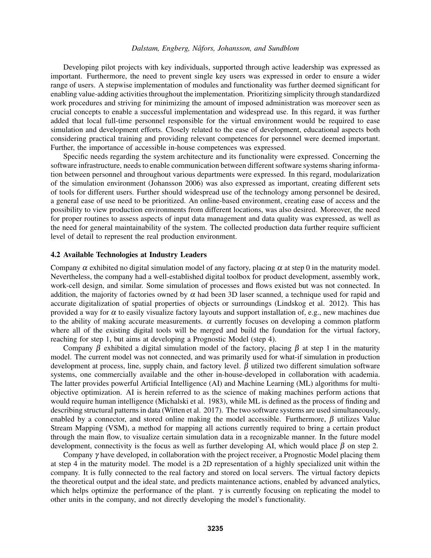Developing pilot projects with key individuals, supported through active leadership was expressed as important. Furthermore, the need to prevent single key users was expressed in order to ensure a wider range of users. A stepwise implementation of modules and functionality was further deemed significant for enabling value-adding activities throughout the implementation. Prioritizing simplicity through standardized work procedures and striving for minimizing the amount of imposed administration was moreover seen as crucial concepts to enable a successful implementation and widespread use. In this regard, it was further added that local full-time personnel responsible for the virtual environment would be required to ease simulation and development efforts. Closely related to the ease of development, educational aspects both considering practical training and providing relevant competences for personnel were deemed important. Further, the importance of accessible in-house competences was expressed.

Specific needs regarding the system architecture and its functionality were expressed. Concerning the software infrastructure, needs to enable communication between different software systems sharing information between personnel and throughout various departments were expressed. In this regard, modularization of the simulation environment (Johansson 2006) was also expressed as important, creating different sets of tools for different users. Further should widespread use of the technology among personnel be desired, a general ease of use need to be prioritized. An online-based environment, creating ease of access and the possibility to view production environments from different locations, was also desired. Moreover, the need for proper routines to assess aspects of input data management and data quality was expressed, as well as the need for general maintainability of the system. The collected production data further require sufficient level of detail to represent the real production environment.

### 4.2 Available Technologies at Industry Leaders

Company  $\alpha$  exhibited no digital simulation model of any factory, placing  $\alpha$  at step 0 in the maturity model. Nevertheless, the company had a well-established digital toolbox for product development, assembly work, work-cell design, and similar. Some simulation of processes and flows existed but was not connected. In addition, the majority of factories owned by  $\alpha$  had been 3D laser scanned, a technique used for rapid and accurate digitalization of spatial properties of objects or surroundings (Lindskog et al. 2012). This has provided a way for  $\alpha$  to easily visualize factory layouts and support installation of, e.g., new machines due to the ability of making accurate measurements.  $\alpha$  currently focuses on developing a common platform where all of the existing digital tools will be merged and build the foundation for the virtual factory, reaching for step 1, but aims at developing a Prognostic Model (step 4).

Company  $\beta$  exhibited a digital simulation model of the factory, placing  $\beta$  at step 1 in the maturity model. The current model was not connected, and was primarily used for what-if simulation in production development at process, line, supply chain, and factory level.  $\beta$  utilized two different simulation software systems, one commercially available and the other in-house-developed in collaboration with academia. The latter provides powerful Artificial Intelligence (AI) and Machine Learning (ML) algorithms for multiobjective optimization. AI is herein referred to as the science of making machines perform actions that would require human intelligence (Michalski et al. 1983), while ML is defined as the process of finding and describing structural patterns in data (Witten et al. 2017). The two software systems are used simultaneously, enabled by a connector, and stored online making the model accessible. Furthermore,  $\beta$  utilizes Value Stream Mapping (VSM), a method for mapping all actions currently required to bring a certain product through the main flow, to visualize certain simulation data in a recognizable manner. In the future model development, connectivity is the focus as well as further developing AI, which would place  $\beta$  on step 2.

Company  $\gamma$  have developed, in collaboration with the project receiver, a Prognostic Model placing them at step 4 in the maturity model. The model is a 2D representation of a highly specialized unit within the company. It is fully connected to the real factory and stored on local servers. The virtual factory depicts the theoretical output and the ideal state, and predicts maintenance actions, enabled by advanced analytics, which helps optimize the performance of the plant.  $\gamma$  is currently focusing on replicating the model to other units in the company, and not directly developing the model's functionality.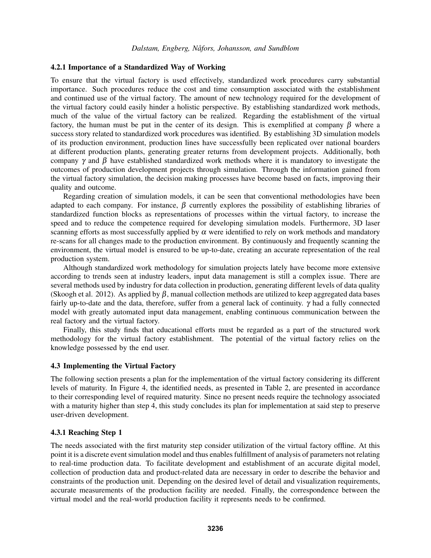### 4.2.1 Importance of a Standardized Way of Working

To ensure that the virtual factory is used effectively, standardized work procedures carry substantial importance. Such procedures reduce the cost and time consumption associated with the establishment and continued use of the virtual factory. The amount of new technology required for the development of the virtual factory could easily hinder a holistic perspective. By establishing standardized work methods, much of the value of the virtual factory can be realized. Regarding the establishment of the virtual factory, the human must be put in the center of its design. This is exemplified at company  $\beta$  where a success story related to standardized work procedures was identified. By establishing 3D simulation models of its production environment, production lines have successfully been replicated over national boarders at different production plants, generating greater returns from development projects. Additionally, both company  $\gamma$  and  $\beta$  have established standardized work methods where it is mandatory to investigate the outcomes of production development projects through simulation. Through the information gained from the virtual factory simulation, the decision making processes have become based on facts, improving their quality and outcome.

Regarding creation of simulation models, it can be seen that conventional methodologies have been adapted to each company. For instance,  $\beta$  currently explores the possibility of establishing libraries of standardized function blocks as representations of processes within the virtual factory, to increase the speed and to reduce the competence required for developing simulation models. Furthermore, 3D laser scanning efforts as most successfully applied by  $\alpha$  were identified to rely on work methods and mandatory re-scans for all changes made to the production environment. By continuously and frequently scanning the environment, the virtual model is ensured to be up-to-date, creating an accurate representation of the real production system.

Although standardized work methodology for simulation projects lately have become more extensive according to trends seen at industry leaders, input data management is still a complex issue. There are several methods used by industry for data collection in production, generating different levels of data quality (Skoogh et al. 2012). As applied by  $\beta$ , manual collection methods are utilized to keep aggregated data bases fairly up-to-date and the data, therefore, suffer from a general lack of continuity.  $\gamma$  had a fully connected model with greatly automated input data management, enabling continuous communication between the real factory and the virtual factory.

Finally, this study finds that educational efforts must be regarded as a part of the structured work methodology for the virtual factory establishment. The potential of the virtual factory relies on the knowledge possessed by the end user.

#### 4.3 Implementing the Virtual Factory

The following section presents a plan for the implementation of the virtual factory considering its different levels of maturity. In Figure 4, the identified needs, as presented in Table 2, are presented in accordance to their corresponding level of required maturity. Since no present needs require the technology associated with a maturity higher than step 4, this study concludes its plan for implementation at said step to preserve user-driven development.

### 4.3.1 Reaching Step 1

The needs associated with the first maturity step consider utilization of the virtual factory offline. At this point it is a discrete event simulation model and thus enables fulfillment of analysis of parameters not relating to real-time production data. To facilitate development and establishment of an accurate digital model, collection of production data and product-related data are necessary in order to describe the behavior and constraints of the production unit. Depending on the desired level of detail and visualization requirements, accurate measurements of the production facility are needed. Finally, the correspondence between the virtual model and the real-world production facility it represents needs to be confirmed.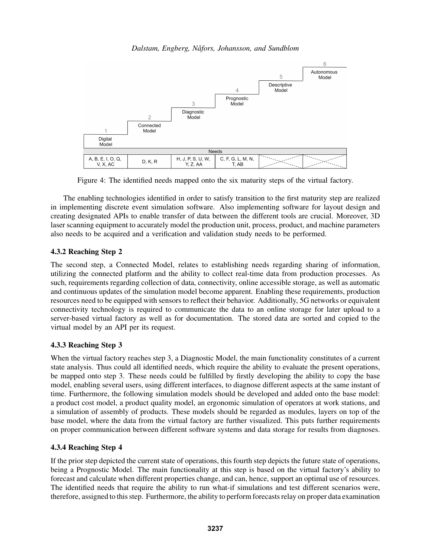

Figure 4: The identified needs mapped onto the six maturity steps of the virtual factory.

The enabling technologies identified in order to satisfy transition to the first maturity step are realized in implementing discrete event simulation software. Also implementing software for layout design and creating designated APIs to enable transfer of data between the different tools are crucial. Moreover, 3D laser scanning equipment to accurately model the production unit, process, product, and machine parameters also needs to be acquired and a verification and validation study needs to be performed.

# 4.3.2 Reaching Step 2

The second step, a Connected Model, relates to establishing needs regarding sharing of information, utilizing the connected platform and the ability to collect real-time data from production processes. As such, requirements regarding collection of data, connectivity, online accessible storage, as well as automatic and continuous updates of the simulation model become apparent. Enabling these requirements, production resources need to be equipped with sensors to reflect their behavior. Additionally, 5G networks or equivalent connectivity technology is required to communicate the data to an online storage for later upload to a server-based virtual factory as well as for documentation. The stored data are sorted and copied to the virtual model by an API per its request.

# 4.3.3 Reaching Step 3

When the virtual factory reaches step 3, a Diagnostic Model, the main functionality constitutes of a current state analysis. Thus could all identified needs, which require the ability to evaluate the present operations, be mapped onto step 3. These needs could be fulfilled by firstly developing the ability to copy the base model, enabling several users, using different interfaces, to diagnose different aspects at the same instant of time. Furthermore, the following simulation models should be developed and added onto the base model: a product cost model, a product quality model, an ergonomic simulation of operators at work stations, and a simulation of assembly of products. These models should be regarded as modules, layers on top of the base model, where the data from the virtual factory are further visualized. This puts further requirements on proper communication between different software systems and data storage for results from diagnoses.

# 4.3.4 Reaching Step 4

If the prior step depicted the current state of operations, this fourth step depicts the future state of operations, being a Prognostic Model. The main functionality at this step is based on the virtual factory's ability to forecast and calculate when different properties change, and can, hence, support an optimal use of resources. The identified needs that require the ability to run what-if simulations and test different scenarios were, therefore, assigned to this step. Furthermore, the ability to perform forecasts relay on proper data examination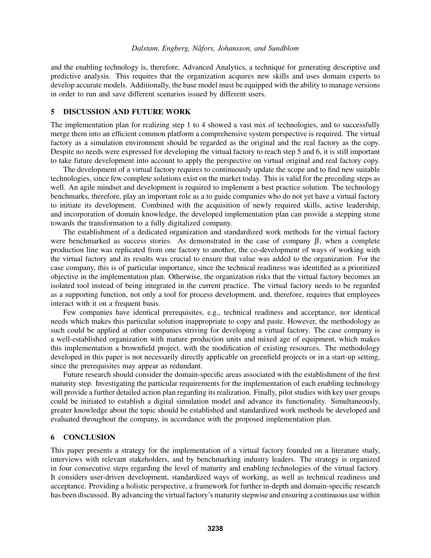and the enabling technology is, therefore, Advanced Analytics, a technique for generating descriptive and predictive analysis. This requires that the organization acquires new skills and uses domain experts to develop accurate models. Additionally, the base model must be equipped with the ability to manage versions in order to run and save different scenarios issued by different users.

## 5 DISCUSSION AND FUTURE WORK

The implementation plan for realizing step 1 to 4 showed a vast mix of technologies, and to successfully merge them into an efficient common platform a comprehensive system perspective is required. The virtual factory as a simulation environment should be regarded as the original and the real factory as the copy. Despite no needs were expressed for developing the virtual factory to reach step 5 and 6, it is still important to take future development into account to apply the perspective on virtual original and real factory copy.

The development of a virtual factory requires to continuously update the scope and to find new suitable technologies, since few complete solutions exist on the market today. This is valid for the preceding steps as well. An agile mindset and development is required to implement a best practice solution. The technology benchmarks, therefore, play an important role as a to guide companies who do not yet have a virtual factory to initiate its development. Combined with the acquisition of newly required skills, active leadership, and incorporation of domain knowledge, the developed implementation plan can provide a stepping stone towards the transformation to a fully digitalized company.

The establishment of a dedicated organization and standardized work methods for the virtual factory were benchmarked as success stories. As demonstrated in the case of company  $\beta$ , when a complete production line was replicated from one factory to another, the co-development of ways of working with the virtual factory and its results was crucial to ensure that value was added to the organization. For the case company, this is of particular importance, since the technical readiness was identified as a prioritized objective in the implementation plan. Otherwise, the organization risks that the virtual factory becomes an isolated tool instead of being integrated in the current practice. The virtual factory needs to be regarded as a supporting function, not only a tool for process development, and, therefore, requires that employees interact with it on a frequent basis.

Few companies have identical prerequisites, e.g., technical readiness and acceptance, nor identical needs which makes this particular solution inappropriate to copy and paste. However, the methodology as such could be applied at other companies striving for developing a virtual factory. The case company is a well-established organization with mature production units and mixed age of equipment, which makes this implementation a brownfield project, with the modification of existing resources. The methodology developed in this paper is not necessarily directly applicable on greenfield projects or in a start-up setting, since the prerequisites may appear as redundant.

Future research should consider the domain-specific areas associated with the establishment of the first maturity step. Investigating the particular requirements for the implementation of each enabling technology will provide a further detailed action plan regarding its realization. Finally, pilot studies with key user groups could be initiated to establish a digital simulation model and advance its functionality. Simultaneously, greater knowledge about the topic should be established and standardized work methods be developed and evaluated throughout the company, in accordance with the proposed implementation plan.

#### 6 CONCLUSION

This paper presents a strategy for the implementation of a virtual factory founded on a literature study, interviews with relevant stakeholders, and by benchmarking industry leaders. The strategy is organized in four consecutive steps regarding the level of maturity and enabling technologies of the virtual factory. It considers user-driven development, standardized ways of working, as well as technical readiness and acceptance. Providing a holistic perspective, a framework for further in-depth and domain-specific research has been discussed. By advancing the virtual factory's maturity stepwise and ensuring a continuous use within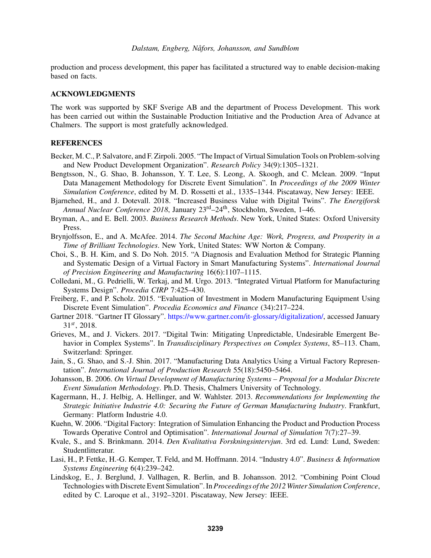production and process development, this paper has facilitated a structured way to enable decision-making based on facts.

#### ACKNOWLEDGMENTS

The work was supported by SKF Sverige AB and the department of Process Development. This work has been carried out within the Sustainable Production Initiative and the Production Area of Advance at Chalmers. The support is most gratefully acknowledged.

### **REFERENCES**

- Becker, M. C., P. Salvatore, and F. Zirpoli. 2005. "The Impact of Virtual Simulation Tools on Problem-solving and New Product Development Organization". *Research Policy* 34(9):1305–1321.
- Bengtsson, N., G. Shao, B. Johansson, Y. T. Lee, S. Leong, A. Skoogh, and C. Mclean. 2009. "Input Data Management Methodology for Discrete Event Simulation". In *Proceedings of the 2009 Winter Simulation Conference*, edited by M. D. Rossetti et al., 1335–1344. Piscataway, New Jersey: IEEE.
- Bjarnehed, H., and J. Dotevall. 2018. "Increased Business Value with Digital Twins". *The Energiforsk Annual Nuclear Conference 2018*, January 23rd–24th, Stockholm, Sweden, 1–46.
- Bryman, A., and E. Bell. 2003. *Business Research Methods*. New York, United States: Oxford University Press.
- Brynjolfsson, E., and A. McAfee. 2014. *The Second Machine Age: Work, Progress, and Prosperity in a Time of Brilliant Technologies*. New York, United States: WW Norton & Company.
- Choi, S., B. H. Kim, and S. Do Noh. 2015. "A Diagnosis and Evaluation Method for Strategic Planning and Systematic Design of a Virtual Factory in Smart Manufacturing Systems". *International Journal of Precision Engineering and Manufacturing* 16(6):1107–1115.
- Colledani, M., G. Pedrielli, W. Terkaj, and M. Urgo. 2013. "Integrated Virtual Platform for Manufacturing Systems Design". *Procedia CIRP* 7:425–430.
- Freiberg, F., and P. Scholz. 2015. "Evaluation of Investment in Modern Manufacturing Equipment Using Discrete Event Simulation". *Procedia Economics and Finance* (34):217–224.
- Gartner 2018. "Gartner IT Glossary". https://www.gartner.com/it-glossary/digitalization/, accessed January 31*st*, 2018.
- Grieves, M., and J. Vickers. 2017. "Digital Twin: Mitigating Unpredictable, Undesirable Emergent Behavior in Complex Systems". In *Transdisciplinary Perspectives on Complex Systems*, 85–113. Cham, Switzerland: Springer.
- Jain, S., G. Shao, and S.-J. Shin. 2017. "Manufacturing Data Analytics Using a Virtual Factory Representation". *International Journal of Production Research* 55(18):5450–5464.
- Johansson, B. 2006. *On Virtual Development of Manufacturing Systems Proposal for a Modular Discrete Event Simulation Methodology*. Ph.D. Thesis, Chalmers University of Technology.
- Kagermann, H., J. Helbig, A. Hellinger, and W. Wahlster. 2013. *Recommendations for Implementing the Strategic Initiative Industrie 4.0: Securing the Future of German Manufacturing Industry*. Frankfurt, Germany: Platform Industrie 4.0.
- Kuehn, W. 2006. "Digital Factory: Integration of Simulation Enhancing the Product and Production Process Towards Operative Control and Optimisation". *International Journal of Simulation* 7(7):27–39.
- Kvale, S., and S. Brinkmann. 2014. *Den Kvalitativa Forskningsintervjun*. 3rd ed. Lund: Lund, Sweden: Studentlitteratur.
- Lasi, H., P. Fettke, H.-G. Kemper, T. Feld, and M. Hoffmann. 2014. "Industry 4.0". *Business & Information Systems Engineering* 6(4):239–242.
- Lindskog, E., J. Berglund, J. Vallhagen, R. Berlin, and B. Johansson. 2012. "Combining Point Cloud Technologies with Discrete Event Simulation". In*Proceedings of the 2012 Winter Simulation Conference*, edited by C. Laroque et al., 3192–3201. Piscataway, New Jersey: IEEE.